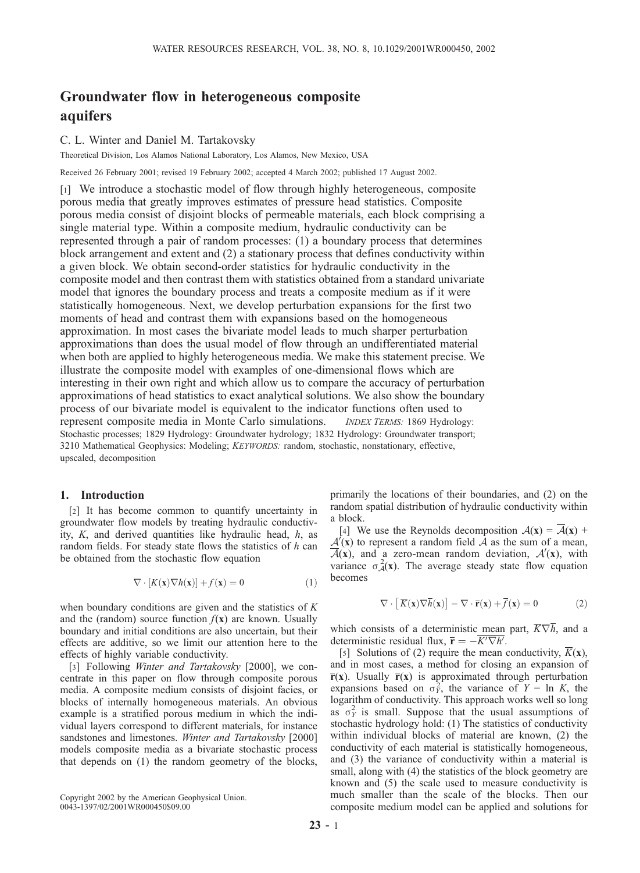# Groundwater flow in heterogeneous composite aquifers

## C. L. Winter and Daniel M. Tartakovsky

Theoretical Division, Los Alamos National Laboratory, Los Alamos, New Mexico, USA

Received 26 February 2001; revised 19 February 2002; accepted 4 March 2002; published 17 August 2002.

[1] We introduce a stochastic model of flow through highly heterogeneous, composite porous media that greatly improves estimates of pressure head statistics. Composite porous media consist of disjoint blocks of permeable materials, each block comprising a single material type. Within a composite medium, hydraulic conductivity can be represented through a pair of random processes: (1) a boundary process that determines block arrangement and extent and (2) a stationary process that defines conductivity within a given block. We obtain second-order statistics for hydraulic conductivity in the composite model and then contrast them with statistics obtained from a standard univariate model that ignores the boundary process and treats a composite medium as if it were statistically homogeneous. Next, we develop perturbation expansions for the first two moments of head and contrast them with expansions based on the homogeneous approximation. In most cases the bivariate model leads to much sharper perturbation approximations than does the usual model of flow through an undifferentiated material when both are applied to highly heterogeneous media. We make this statement precise. We illustrate the composite model with examples of one-dimensional flows which are interesting in their own right and which allow us to compare the accuracy of perturbation approximations of head statistics to exact analytical solutions. We also show the boundary process of our bivariate model is equivalent to the indicator functions often used to represent composite media in Monte Carlo simulations. *INDEX TERMS*: 1869 Hydrology: Stochastic processes; 1829 Hydrology: Groundwater hydrology; 1832 Hydrology: Groundwater transport; 3210 Mathematical Geophysics: Modeling; KEYWORDS: random, stochastic, nonstationary, effective, upscaled, decomposition

# 1. Introduction

[2] It has become common to quantify uncertainty in groundwater flow models by treating hydraulic conductivity,  $K$ , and derived quantities like hydraulic head,  $h$ , as random fields. For steady state flows the statistics of  $h$  can be obtained from the stochastic flow equation

$$
\nabla \cdot [K(\mathbf{x}) \nabla h(\mathbf{x})] + f(\mathbf{x}) = 0 \tag{1}
$$

when boundary conditions are given and the statistics of  $K$ and the (random) source function  $f(x)$  are known. Usually boundary and initial conditions are also uncertain, but their effects are additive, so we limit our attention here to the effects of highly variable conductivity.

[3] Following Winter and Tartakovsky [2000], we concentrate in this paper on flow through composite porous media. A composite medium consists of disjoint facies, or blocks of internally homogeneous materials. An obvious example is a stratified porous medium in which the individual layers correspond to different materials, for instance sandstones and limestones. Winter and Tartakovsky [2000] models composite media as a bivariate stochastic process that depends on (1) the random geometry of the blocks,

Copyright 2002 by the American Geophysical Union. 0043-1397/02/2001WR000450\$09.00

primarily the locations of their boundaries, and (2) on the random spatial distribution of hydraulic conductivity within a block.

[4] We use the Reynolds decomposition  $A(x) = \overline{A}(x) +$  $\overline{A'(x)}$  to represent a random field  $\overline{A}$  as the sum of a mean,  $\overline{\mathcal{A}}(x)$ , and a zero-mean random deviation,  $\mathcal{A}'(x)$ , with variance  $\sigma_A^2(x)$ . The average steady state flow equation becomes

$$
\nabla \cdot \left[ \overline{K}(\mathbf{x}) \nabla \overline{h}(\mathbf{x}) \right] - \nabla \cdot \overline{\mathbf{r}}(\mathbf{x}) + \overline{f}(\mathbf{x}) = 0 \tag{2}
$$

which consists of a deterministic mean part,  $\overline{K}\nabla \overline{h}$ , and a deterministic residual flux,  $\bar{\mathbf{r}} = -\overline{K' \nabla h'}$ .

[5] Solutions of (2) require the mean conductivity,  $\overline{K}(\mathbf{x})$ , and in most cases, a method for closing an expansion of  $\overline{r}(x)$ . Usually  $\overline{r}(x)$  is approximated through perturbation expansions based on  $\sigma_Y^2$ , the variance of  $Y = \ln K$ , the logarithm of conductivity. This approach works well so long as  $\sigma_Y^2$  is small. Suppose that the usual assumptions of stochastic hydrology hold: (1) The statistics of conductivity within individual blocks of material are known, (2) the conductivity of each material is statistically homogeneous, and (3) the variance of conductivity within a material is small, along with (4) the statistics of the block geometry are known and (5) the scale used to measure conductivity is much smaller than the scale of the blocks. Then our composite medium model can be applied and solutions for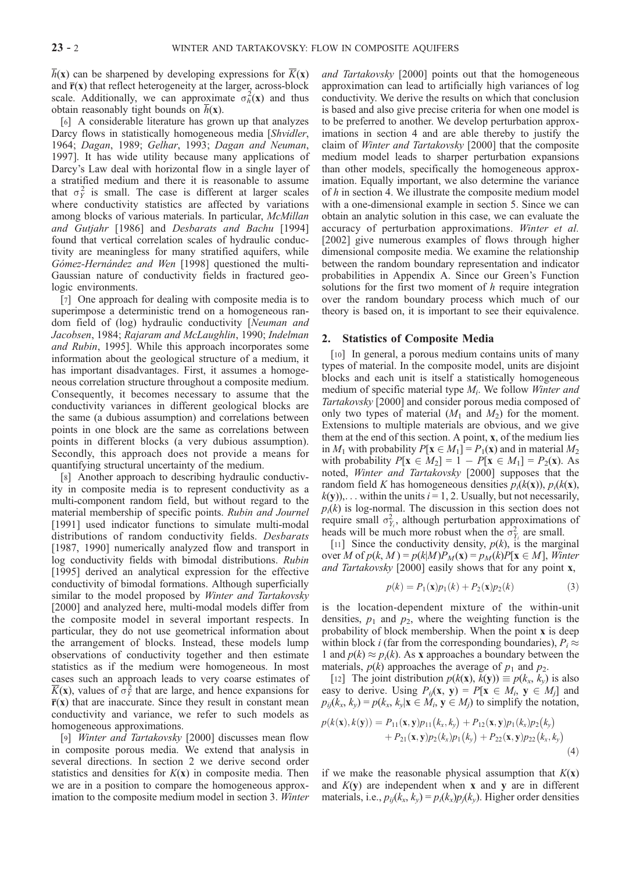$h(x)$  can be sharpened by developing expressions for  $K(x)$ and  $\overline{\mathbf{r}}(\mathbf{x})$  that reflect heterogeneity at the larger, across-block scale. Additionally, we can approximate  $\sigma_h^2(\mathbf{x})$  and thus obtain reasonably tight bounds on  $h(\mathbf{x})$ .

[6] A considerable literature has grown up that analyzes Darcy flows in statistically homogeneous media [Shvidler, 1964; Dagan, 1989; Gelhar, 1993; Dagan and Neuman, 1997]. It has wide utility because many applications of Darcy's Law deal with horizontal flow in a single layer of a stratified medium and there it is reasonable to assume that  $\sigma_Y^2$  is small. The case is different at larger scales where conductivity statistics are affected by variations among blocks of various materials. In particular, McMillan and Gutjahr [1986] and Desbarats and Bachu [1994] found that vertical correlation scales of hydraulic conductivity are meaningless for many stratified aquifers, while Gómez-Hernández and Wen [1998] questioned the multi-Gaussian nature of conductivity fields in fractured geologic environments.

[7] One approach for dealing with composite media is to superimpose a deterministic trend on a homogeneous random field of (log) hydraulic conductivity [Neuman and Jacobsen, 1984; Rajaram and McLaughlin, 1990; Indelman and Rubin, 1995]. While this approach incorporates some information about the geological structure of a medium, it has important disadvantages. First, it assumes a homogeneous correlation structure throughout a composite medium. Consequently, it becomes necessary to assume that the conductivity variances in different geological blocks are the same (a dubious assumption) and correlations between points in one block are the same as correlations between points in different blocks (a very dubious assumption). Secondly, this approach does not provide a means for quantifying structural uncertainty of the medium.

[8] Another approach to describing hydraulic conductivity in composite media is to represent conductivity as a multi-component random field, but without regard to the material membership of specific points. Rubin and Journel [1991] used indicator functions to simulate multi-modal distributions of random conductivity fields. Desbarats [1987, 1990] numerically analyzed flow and transport in log conductivity fields with bimodal distributions. Rubin [1995] derived an analytical expression for the effective conductivity of bimodal formations. Although superficially similar to the model proposed by *Winter and Tartakovsky* [2000] and analyzed here, multi-modal models differ from the composite model in several important respects. In particular, they do not use geometrical information about the arrangement of blocks. Instead, these models lump observations of conductivity together and then estimate statistics as if the medium were homogeneous. In most cases such an approach leads to very coarse estimates of  $\overline{K}(x)$ , values of  $\sigma_Y^2$  that are large, and hence expansions for  $\overline{r}(x)$  that are inaccurate. Since they result in constant mean conductivity and variance, we refer to such models as homogeneous approximations.

[9] Winter and Tartakovsky [2000] discusses mean flow in composite porous media. We extend that analysis in several directions. In section 2 we derive second order statistics and densities for  $K(x)$  in composite media. Then we are in a position to compare the homogeneous approximation to the composite medium model in section 3. Winter and Tartakovsky [2000] points out that the homogeneous approximation can lead to artificially high variances of log conductivity. We derive the results on which that conclusion is based and also give precise criteria for when one model is to be preferred to another. We develop perturbation approximations in section 4 and are able thereby to justify the claim of Winter and Tartakovsky [2000] that the composite medium model leads to sharper perturbation expansions than other models, specifically the homogeneous approximation. Equally important, we also determine the variance of h in section 4. We illustrate the composite medium model with a one-dimensional example in section 5. Since we can obtain an analytic solution in this case, we can evaluate the accuracy of perturbation approximations. Winter et al. [2002] give numerous examples of flows through higher dimensional composite media. We examine the relationship between the random boundary representation and indicator probabilities in Appendix A. Since our Green's Function solutions for the first two moment of h require integration over the random boundary process which much of our theory is based on, it is important to see their equivalence.

## 2. Statistics of Composite Media

[10] In general, a porous medium contains units of many types of material. In the composite model, units are disjoint blocks and each unit is itself a statistically homogeneous medium of specific material type  $M_i$ . We follow Winter and Tartakovsky [2000] and consider porous media composed of only two types of material  $(M_1 \text{ and } M_2)$  for the moment. Extensions to multiple materials are obvious, and we give them at the end of this section. A point, x, of the medium lies in  $M_1$  with probability  $P[x \in M_1] = P_1(x)$  and in material  $M_2$ with probability  $P[\mathbf{x} \in M_2] = 1 - P[\mathbf{x} \in M_1] = P_2(\mathbf{x})$ . As noted, Winter and Tartakovsky [2000] supposes that the random field K has homogeneous densities  $p_i(k(x))$ ,  $p_i(k(x))$ ,  $k(y)$ ,... within the units  $i = 1, 2$ . Usually, but not necessarily,  $p<sub>i</sub>(k)$  is log-normal. The discussion in this section does not require small  $\sigma_{Y_i}^2$ , although perturbation approximations of heads will be much more robust when the  $\sigma_{Y_i}^2$  are small.

[11] Since the conductivity density,  $p(k)$ , is the marginal over M of  $p(k, M) = p(k|M)P_M(\mathbf{x}) = p_M(k)P[\mathbf{x} \in M]$ , Winter and Tartakovsky [2000] easily shows that for any point x,

$$
p(k) = P_1(\mathbf{x})p_1(k) + P_2(\mathbf{x})p_2(k)
$$
 (3)

is the location-dependent mixture of the within-unit densities,  $p_1$  and  $p_2$ , where the weighting function is the probability of block membership. When the point x is deep within block *i* (far from the corresponding boundaries),  $P_i \approx$ 1 and  $p(k) \approx p_i(k)$ . As x approaches a boundary between the materials,  $p(k)$  approaches the average of  $p_1$  and  $p_2$ .

[12] The joint distribution  $p(k(\mathbf{x}), k(\mathbf{y})) \equiv p(k_x, k_y)$  is also easy to derive. Using  $P_{ij}(\mathbf{x}, \mathbf{y}) = P[\mathbf{x} \in M_i, \mathbf{y} \in M_j]$  and  $p_{ij}(k_x, k_y) = p(k_x, k_y | \mathbf{x} \in M_i, \mathbf{y} \in M_j)$  to simplify the notation,

$$
p(k(\mathbf{x}), k(\mathbf{y})) = P_{11}(\mathbf{x}, \mathbf{y})p_{11}(k_x, k_y) + P_{12}(\mathbf{x}, \mathbf{y})p_1(k_x)p_2(k_y) + P_{21}(\mathbf{x}, \mathbf{y})p_2(k_x)p_1(k_y) + P_{22}(\mathbf{x}, \mathbf{y})p_{22}(k_x, k_y)
$$
\n(4)

if we make the reasonable physical assumption that  $K(\mathbf{x})$ and  $K(y)$  are independent when x and y are in different materials, i.e.,  $p_{ij}(k_x, k_y) = p_i(k_x)p_j(k_y)$ . Higher order densities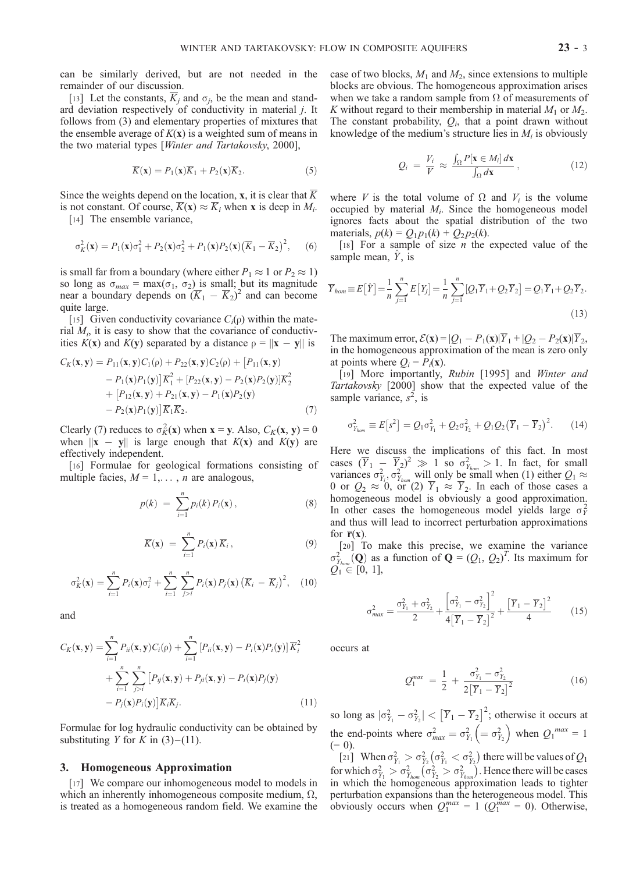can be similarly derived, but are not needed in the remainder of our discussion.

[13] Let the constants,  $\overline{K}_i$  and  $\sigma_i$ , be the mean and standard deviation respectively of conductivity in material j. It follows from (3) and elementary properties of mixtures that the ensemble average of  $K(x)$  is a weighted sum of means in the two material types [Winter and Tartakovsky, 2000],

$$
\overline{K}(\mathbf{x}) = P_1(\mathbf{x})\overline{K}_1 + P_2(\mathbf{x})\overline{K}_2.
$$
 (5)

Since the weights depend on the location, x, it is clear that  $\overline{K}$ is not constant. Of course,  $\overline{K}(\mathbf{x}) \approx \overline{K}_i$  when x is deep in  $M_i$ .

[14] The ensemble variance,

$$
\sigma_K^2(\mathbf{x}) = P_1(\mathbf{x})\sigma_1^2 + P_2(\mathbf{x})\sigma_2^2 + P_1(\mathbf{x})P_2(\mathbf{x})\left(\overline{K}_1 - \overline{K}_2\right)^2, \quad (6)
$$

is small far from a boundary (where either  $P_1 \approx 1$  or  $P_2 \approx 1$ ) so long as  $\sigma_{max} = \max(\sigma_1, \sigma_2)$  is small; but its magnitude near a boundary depends on  $(\overline{K}_1 - \overline{K}_2)^2$  and can become quite large.

[15] Given conductivity covariance  $C_i(\rho)$  within the material  $M_i$ , it is easy to show that the covariance of conductivities  $K(x)$  and  $K(y)$  separated by a distance  $\rho = ||x - y||$  is

$$
C_K(\mathbf{x}, \mathbf{y}) = P_{11}(\mathbf{x}, \mathbf{y}) C_1(\rho) + P_{22}(\mathbf{x}, \mathbf{y}) C_2(\rho) + [P_{11}(\mathbf{x}, \mathbf{y}) - P_1(\mathbf{x}) P_1(\mathbf{y})] \overline{K}_1^2 + [P_{22}(\mathbf{x}, \mathbf{y}) - P_2(\mathbf{x}) P_2(\mathbf{y})] \overline{K}_2^2
$$
  
+ 
$$
[P_{12}(\mathbf{x}, \mathbf{y}) + P_{21}(\mathbf{x}, \mathbf{y}) - P_1(\mathbf{x}) P_2(\mathbf{y}) - P_2(\mathbf{x}) P_1(\mathbf{y})] \overline{K}_1 \overline{K}_2.
$$
 (7)

Clearly (7) reduces to  $\sigma_K^2(\mathbf{x})$  when  $\mathbf{x} = \mathbf{y}$ . Also,  $C_K(\mathbf{x}, \mathbf{y}) = 0$ when  $||x - y||$  is large enough that  $K(x)$  and  $K(y)$  are effectively independent.

[16] Formulae for geological formations consisting of multiple facies,  $M = 1, \ldots, n$  are analogous,

$$
p(k) = \sum_{i=1}^{n} p_i(k) P_i(\mathbf{x}), \qquad (8)
$$

$$
\overline{K}(\mathbf{x}) = \sum_{i=1}^{n} P_i(\mathbf{x}) \overline{K}_i, \qquad (9)
$$

$$
\sigma_K^2(\mathbf{x}) = \sum_{i=1}^n P_i(\mathbf{x}) \sigma_i^2 + \sum_{i=1}^n \sum_{j>i}^n P_i(\mathbf{x}) P_j(\mathbf{x}) \left(\overline{K}_i - \overline{K}_j\right)^2, \quad (10)
$$

and

$$
C_K(\mathbf{x}, \mathbf{y}) = \sum_{i=1}^n P_{ii}(\mathbf{x}, \mathbf{y}) C_i(\rho) + \sum_{i=1}^n \left[ P_{ii}(\mathbf{x}, \mathbf{y}) - P_i(\mathbf{x}) P_i(\mathbf{y}) \right] \overline{K}_i^2
$$
  
+ 
$$
\sum_{i=1}^n \sum_{j>i}^n \left[ P_{ij}(\mathbf{x}, \mathbf{y}) + P_{ji}(\mathbf{x}, \mathbf{y}) - P_i(\mathbf{x}) P_j(\mathbf{y}) \right]
$$
  
- 
$$
P_j(\mathbf{x}) P_i(\mathbf{y}) \left] \overline{K}_i \overline{K}_j. \tag{11}
$$

Formulae for log hydraulic conductivity can be obtained by substituting *Y* for *K* in  $(3)$ – $(11)$ .

#### 3. Homogeneous Approximation

[17] We compare our inhomogeneous model to models in which an inherently inhomogeneous composite medium,  $\Omega$ , is treated as a homogeneous random field. We examine the case of two blocks,  $M_1$  and  $M_2$ , since extensions to multiple blocks are obvious. The homogeneous approximation arises when we take a random sample from  $\Omega$  of measurements of K without regard to their membership in material  $M_1$  or  $M_2$ . The constant probability,  $Q_i$ , that a point drawn without knowledge of the medium's structure lies in  $M_i$  is obviously

$$
Q_i = \frac{V_i}{V} \approx \frac{\int_{\Omega} P[\mathbf{x} \in M_i] d\mathbf{x}}{\int_{\Omega} d\mathbf{x}}, \qquad (12)
$$

where V is the total volume of  $\Omega$  and  $V_i$  is the volume occupied by material  $M_i$ . Since the homogeneous model ignores facts about the spatial distribution of the two materials,  $p(k) = Q_1 p_1(k) + Q_2 p_2(k)$ .

[18] For a sample of size *n* the expected value of the sample mean,  $\hat{Y}$ , is

$$
\overline{Y}_{hom} \equiv E\left[\hat{Y}\right] = \frac{1}{n} \sum_{j=1}^{n} E\left[Y_j\right] = \frac{1}{n} \sum_{j=1}^{n} [Q_1 \overline{Y}_1 + Q_2 \overline{Y}_2] = Q_1 \overline{Y}_1 + Q_2 \overline{Y}_2.
$$
\n(13)

The maximum error,  $\mathcal{E}(\mathbf{x})=|Q_1 - P_1(\mathbf{x})|\overline{Y}_1 + |Q_2 - P_2(\mathbf{x})|\overline{Y}_2$ , in the homogeneous approximation of the mean is zero only at points where  $Q_i = P_i(\mathbf{x})$ .

[19] More importantly, Rubin [1995] and Winter and Tartakovsky [2000] show that the expected value of the sample variance,  $s^2$ , is

$$
\sigma_{Y_{\text{hom}}}^2 \equiv E\big[s^2\big] = Q_1 \sigma_{Y_1}^2 + Q_2 \sigma_{Y_2}^2 + Q_1 Q_2 \big(\overline{Y}_1 - \overline{Y}_2\big)^2. \tag{14}
$$

Here we discuss the implications of this fact. In most cases  $(\overline{Y}_1 - \overline{Y}_2)^2 \gg 1$  so  $\sigma_{Y_{hom}}^2 > 1$ . In fact, for small variances  $\sigma_{Y_i}^2$ ,  $\sigma_{Y_{hom}}^2$  will only be small when (1) either  $Q_1 \approx$ 0 or  $Q_2 \approx 0$ , or (2)  $Y_1 \approx Y_2$ . In each of those cases a homogeneous model is obviously a good approximation. In other cases the homogeneous model yields large  $\sigma_Y^2$ and thus will lead to incorrect perturbation approximations for  $\overline{\mathbf{r}}(\mathbf{x})$ .

[20] To make this precise, we examine the variance  $\sigma_{Y_{hom}}^2(\mathbf{Q})$  as a function of  $\mathbf{Q} = (Q_1, Q_2)^T$ . Its maximum for  $Q_1 \in [0, 1]$ ,

$$
\sigma_{max}^2 = \frac{\sigma_{Y_1}^2 + \sigma_{Y_2}^2}{2} + \frac{\left[\sigma_{Y_1}^2 - \sigma_{Y_2}^2\right]^2}{4\left[\overline{Y}_1 - \overline{Y}_2\right]^2} + \frac{\left[\overline{Y}_1 - \overline{Y}_2\right]^2}{4} \tag{15}
$$

occurs at

$$
Q_1^{max} = \frac{1}{2} + \frac{\sigma_{Y_1}^2 - \sigma_{Y_2}^2}{2[\overline{Y}_1 - \overline{Y}_2]^2}
$$
 (16)

so long as  $|\sigma_{Y_1}^2 - \sigma_{Y_2}^2| < (\overline{Y}_1 - \overline{Y}_2)^2$ ; otherwise it occurs at the end-points where  $\sigma_{max}^2 = \sigma_{Y_1}^2 \left( = \sigma_{Y_2}^2 \right)$  $\left(=\sigma_{Y_2}^2\right)$  when  $Q_1^{max}=1$  $(= 0).$ 

[21] When  $\sigma_{Y_1}^2 > \sigma_{Y_2}^2$  $\left(\sigma_{Y_1}^2 < \sigma_{Y_2}^2\right)$ ) there will be values of  $Q_1$ for which  $\sigma_{Y_1}^2 > \sigma_{Y_{\text{hom}}}^2$  $\left(\sigma_{Y_2}^2 > \sigma_{Y_{hom}}^2\right)$  $\sum_{i=1}^{n}$ . Hence there will be cases in which the homogeneous approximation leads to tighter perturbation expansions than the heterogeneous model. This obviously occurs when  $Q_1^{max} = 1$  ( $Q_1^{max} = 0$ ). Otherwise,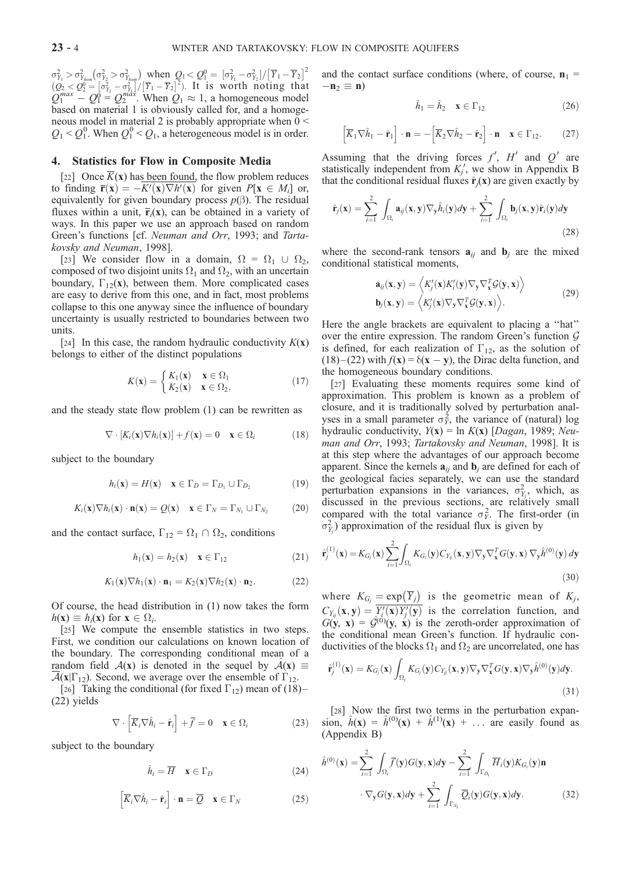$\sigma_{Y_1}^2 > \sigma_{Y_{hom}}^2(\sigma_{Y_2}^2 > \sigma_{Y_{hom}}^2)$  when  $Q_1 < Q_1^0 = [\sigma_{Y_1}^2 - \sigma_{Y_2}^2]/[\overline{Y}_1 - \overline{Y}_2]^2$  $(Q_2 < Q_2^0 = [\sigma_{Y_2}^2 - \sigma_{Y_1}^2]/[\overline{Y}_1 - \overline{Y}_2]^2)$ . It is worth noting that  $Q_1^{max} - Q_1^0 = Q_2^{max}$ . When  $Q_1 \approx 1$ , a homogeneous model based on material 1 is obviously called for, and a homogeneous model in material 2 is probably appropriate when  $0 <$  $Q_1 < Q_1^0$ . When  $Q_1^0 < Q_1$ , a heterogeneous model is in order.

# 4. Statistics for Flow in Composite Media

[22] Once  $\overline{K}(\mathbf{x})$  has been found, the flow problem reduces to finding  $\overline{\mathbf{r}}(\mathbf{x}) = -K'(\mathbf{x}) \nabla h'(\mathbf{x})$  for given  $P[\mathbf{x} \in M_i]$  or, equivalently for given boundary process  $p(\beta)$ . The residual fluxes within a unit,  $\overline{\mathbf{r}}_i(\mathbf{x})$ , can be obtained in a variety of ways. In this paper we use an approach based on random Green's functions [cf. Neuman and Orr, 1993; and Tartakovsky and Neuman, 1998].

[23] We consider flow in a domain,  $\Omega = \Omega_1 \cup \Omega_2$ , composed of two disjoint units  $\Omega_1$  and  $\Omega_2$ , with an uncertain boundary,  $\Gamma_{12}(\mathbf{x})$ , between them. More complicated cases are easy to derive from this one, and in fact, most problems collapse to this one anyway since the influence of boundary uncertainty is usually restricted to boundaries between two units.

[24] In this case, the random hydraulic conductivity  $K(\mathbf{x})$ belongs to either of the distinct populations

$$
K(\mathbf{x}) = \begin{cases} K_1(\mathbf{x}) & \mathbf{x} \in \Omega_1 \\ K_2(\mathbf{x}) & \mathbf{x} \in \Omega_2, \end{cases}
$$
(17)

and the steady state flow problem (1) can be rewritten as

$$
\nabla \cdot [K_i(\mathbf{x}) \nabla h_i(\mathbf{x})] + f(\mathbf{x}) = 0 \quad \mathbf{x} \in \Omega_i \tag{18}
$$

subject to the boundary

$$
h_i(\mathbf{x}) = H(\mathbf{x}) \quad \mathbf{x} \in \Gamma_D = \Gamma_{D_1} \cup \Gamma_{D_2} \tag{19}
$$

$$
K_i(\mathbf{x}) \nabla h_i(\mathbf{x}) \cdot \mathbf{n}(\mathbf{x}) = Q(\mathbf{x}) \quad \mathbf{x} \in \Gamma_N = \Gamma_{N_1} \cup \Gamma_{N_2} \tag{20}
$$

and the contact surface,  $\Gamma_{12} = \Omega_1 \cap \Omega_2$ , conditions

$$
h_1(\mathbf{x}) = h_2(\mathbf{x}) \quad \mathbf{x} \in \Gamma_{12} \tag{21}
$$

$$
K_1(\mathbf{x})\nabla h_1(\mathbf{x}) \cdot \mathbf{n}_1 = K_2(\mathbf{x})\nabla h_2(\mathbf{x}) \cdot \mathbf{n}_2. \tag{22}
$$

Of course, the head distribution in (1) now takes the form  $h(\mathbf{x}) \equiv h_i(\mathbf{x})$  for  $\mathbf{x} \in \Omega_i$ .

[25] We compute the ensemble statistics in two steps. First, we condition our calculations on known location of the boundary. The corresponding conditional mean of a random field  $A(x)$  is denoted in the sequel by  $A(x) \equiv$  $\mathcal{A}(x|\Gamma_{12})$ . Second, we average over the ensemble of  $\Gamma_{12}$ .

[26] Taking the conditional (for fixed  $\Gamma_{12}$ ) mean of (18)– (22) yields

$$
\nabla \cdot \left[ \overline{K}_i \nabla \hat{h}_i - \hat{\mathbf{r}}_i \right] + \overline{f} = 0 \quad \mathbf{x} \in \Omega_i \tag{23}
$$

subject to the boundary

$$
\hat{h}_i = \overline{H} \quad \mathbf{x} \in \Gamma_D \tag{24}
$$

$$
\left[\overline{K}_i \nabla \hat{h}_i - \hat{\mathbf{r}}_i\right] \cdot \mathbf{n} = \overline{Q} \quad \mathbf{x} \in \Gamma_N \tag{25}
$$

and the contact surface conditions (where, of course,  $n_1$  =  $-\mathbf{n}_2 \equiv \mathbf{n}$ )

$$
\hat{h}_1 = \hat{h}_2 \quad \mathbf{x} \in \Gamma_{12} \tag{26}
$$

$$
\left[\overline{K}_1 \nabla \hat{h}_1 - \hat{\mathbf{r}}_1\right] \cdot \mathbf{n} = -\left[\overline{K}_2 \nabla \hat{h}_2 - \hat{\mathbf{r}}_2\right] \cdot \mathbf{n} \quad \mathbf{x} \in \Gamma_{12}.\tag{27}
$$

Assuming that the driving forces  $f'$ ,  $H'$  and  $Q'$  are statistically independent from  $K_j'$ , we show in Appendix B that the conditional residual fluxes  $\hat{\mathbf{r}}_i(\mathbf{x})$  are given exactly by

$$
\hat{\mathbf{r}}_j(\mathbf{x}) = \sum_{i=1}^2 \int_{\Omega_i} \mathbf{a}_{ij}(\mathbf{x}, \mathbf{y}) \nabla_{\mathbf{y}} \hat{h}_i(\mathbf{y}) d\mathbf{y} + \sum_{i=1}^2 \int_{\Omega_i} \mathbf{b}_j(\mathbf{x}, \mathbf{y}) \hat{\mathbf{r}}_i(\mathbf{y}) d\mathbf{y}
$$
\n(28)

where the second-rank tensors  $\mathbf{a}_{ij}$  and  $\mathbf{b}_j$  are the mixed conditional statistical moments,

$$
\mathbf{a}_{ij}(\mathbf{x}, \mathbf{y}) = \left\langle K'_j(\mathbf{x}) K'_i(\mathbf{y}) \nabla_{\mathbf{y}} \nabla_{\mathbf{x}}^T \mathcal{G}(\mathbf{y}, \mathbf{x}) \right\rangle \n\mathbf{b}_j(\mathbf{x}, \mathbf{y}) = \left\langle K'_j(\mathbf{x}) \nabla_{\mathbf{y}} \nabla_{\mathbf{x}}^T \mathcal{G}(\mathbf{y}, \mathbf{x}) \right\rangle.
$$
\n(29)

Here the angle brackets are equivalent to placing a ''hat'' over the entire expression. The random Green's function  $G$ is defined, for each realization of  $\Gamma_{12}$ , as the solution of  $(18)$  –  $(22)$  with  $f(x) = \delta(x - y)$ , the Dirac delta function, and the homogeneous boundary conditions.

[27] Evaluating these moments requires some kind of approximation. This problem is known as a problem of closure, and it is traditionally solved by perturbation analyses in a small parameter  $\sigma_Y^2$ , the variance of (natural) log hydraulic conductivity,  $Y(x) = \ln K(x)$  [Dagan, 1989; Neuman and Orr, 1993; Tartakovsky and Neuman, 1998]. It is at this step where the advantages of our approach become apparent. Since the kernels  $\mathbf{a}_{ij}$  and  $\mathbf{b}_j$  are defined for each of the geological facies separately, we can use the standard perturbation expansions in the variances,  $\sigma_{Y_j}^2$ , which, as discussed in the previous sections, are relatively small compared with the total variance  $\sigma_Y^2$ . The first-order (in  $\sigma_{Y_j}^2$ ) approximation of the residual flux is given by

$$
\hat{\mathbf{r}}_j^{(1)}(\mathbf{x}) = K_{G_j}(\mathbf{x}) \sum_{i=1}^2 \int_{\Omega_i} K_{G_i}(\mathbf{y}) C_{Y_{ij}}(\mathbf{x}, \mathbf{y}) \nabla_{\mathbf{y}} \nabla_{\mathbf{x}}^T G(\mathbf{y}, \mathbf{x}) \nabla_{\mathbf{y}} \hat{h}^{(0)}(\mathbf{y}) d\mathbf{y}
$$
\n(30)

where  $K_{G_j} = \exp(\overline{Y}_j)$  is the geometric mean of  $K_j$ ,  $C_{Y_{ij}}(\mathbf{x}, \mathbf{y}) = \overline{Y_i'(\mathbf{x}) Y_j'(\mathbf{y})}$  is the correlation function, and  $G(y, x) = \mathcal{G}^{(0)}(y, x)$  is the zeroth-order approximation of the conditional mean Green's function. If hydraulic conductivities of the blocks  $\Omega_1$  and  $\Omega_2$  are uncorrelated, one has

$$
\hat{\mathbf{r}}_j^{(1)}(\mathbf{x}) = K_{G_j}(\mathbf{x}) \int_{\Omega_j} K_{G_j}(\mathbf{y}) C_{Y_{jj}}(\mathbf{x}, \mathbf{y}) \nabla_{\mathbf{y}} \nabla_{\mathbf{x}}^T G(\mathbf{y}, \mathbf{x}) \nabla_{\mathbf{y}} \hat{h}^{(0)}(\mathbf{y}) d\mathbf{y}.
$$
\n(31)

[28] Now the first two terms in the perturbation expansion,  $\hat{h}(\mathbf{x}) = \hat{h}^{(0)}(\mathbf{x}) + \hat{h}^{(1)}(\mathbf{x}) + \dots$  are easily found as (Appendix B)

$$
\hat{h}^{(0)}(\mathbf{x}) = \sum_{i=1}^{2} \int_{\Omega_{i}} \overline{f}(\mathbf{y}) G(\mathbf{y}, \mathbf{x}) d\mathbf{y} - \sum_{i=1}^{2} \int_{\Gamma_{D_{i}}} \overline{H}_{i}(\mathbf{y}) K_{G_{i}}(\mathbf{y}) \mathbf{n} \n\cdot \nabla_{\mathbf{y}} G(\mathbf{y}, \mathbf{x}) d\mathbf{y} + \sum_{i=1}^{2} \int_{\Gamma_{N_{i}}} \overline{Q}_{i}(\mathbf{y}) G(\mathbf{y}, \mathbf{x}) d\mathbf{y}.
$$
\n(32)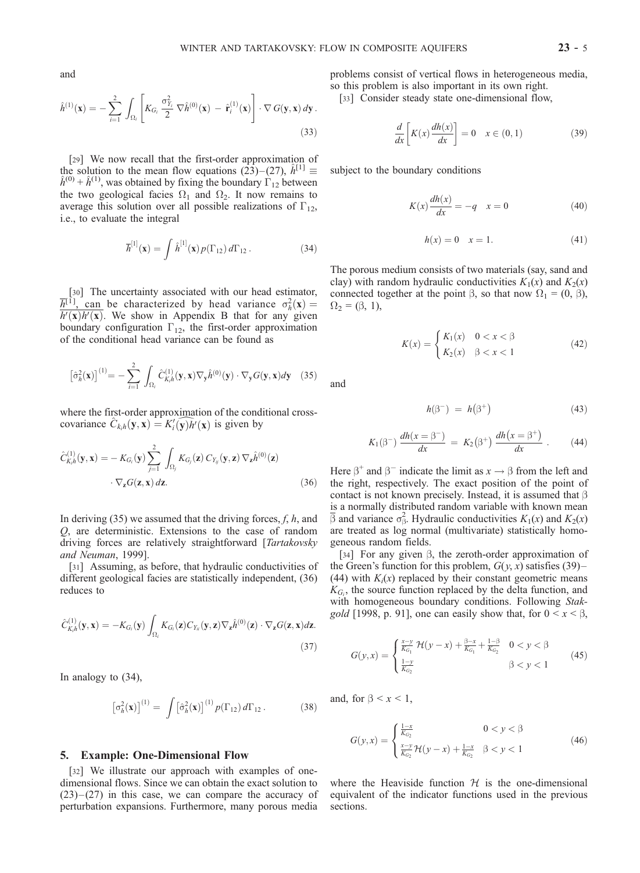and

$$
\hat{h}^{(1)}(\mathbf{x}) = -\sum_{i=1}^{2} \int_{\Omega_{i}} \left[ K_{G_{i}} \frac{\sigma_{Y_{i}}^{2}}{2} \nabla \hat{h}^{(0)}(\mathbf{x}) - \hat{\mathbf{r}}_{i}^{(1)}(\mathbf{x}) \right] \cdot \nabla G(\mathbf{y}, \mathbf{x}) d\mathbf{y}.
$$
\n(33)

[29] We now recall that the first-order approximation of the solution to the mean flow equations (23)–(27),  $\hat{h}^{[1]} \equiv \hat{h}^{(0)} + \hat{h}^{(1)}$ , was obtained by fixing the boundary  $\Gamma_{12}$  between the two geological facies  $\Omega_1$  and  $\Omega_2$ . It now remains to average this solution over all possible realizations of  $\Gamma_{12}$ , i.e., to evaluate the integral

$$
\overline{h}^{[1]}(\mathbf{x}) = \int \hat{h}^{[1]}(\mathbf{x}) p(\Gamma_{12}) d\Gamma_{12}.
$$
 (34)

[30] The uncertainty associated with our head estimator,  $\overline{h}^{[1]}$ , can be characterized by head variance  $\sigma_h^2(\mathbf{x}) =$  $h'(\mathbf{x})h'(\mathbf{x})$ . We show in Appendix B that for any given boundary configuration  $\Gamma_{12}$ , the first-order approximation of the conditional head variance can be found as

$$
\left[\hat{\sigma}_h^2(\mathbf{x})\right]^{(1)} = -\sum_{i=1}^2 \int_{\Omega_i} \hat{C}_{K,h}^{(1)}(\mathbf{y}, \mathbf{x}) \nabla_{\mathbf{y}} \hat{h}^{(0)}(\mathbf{y}) \cdot \nabla_{\mathbf{y}} G(\mathbf{y}, \mathbf{x}) d\mathbf{y} \quad (35)
$$

where the first-order approximation of the conditional crosscovariance  $\hat{C}_{k,h}(\mathbf{y}, \mathbf{x}) = K'_{i}(\widehat{\mathbf{y}}) \hat{h}'(\mathbf{x})$  is given by

$$
\hat{C}_{K,h}^{(1)}(\mathbf{y}, \mathbf{x}) = -K_{G_i}(\mathbf{y}) \sum_{j=1}^{2} \int_{\Omega_j} K_{G_j}(\mathbf{z}) \, C_{Y_{ij}}(\mathbf{y}, \mathbf{z}) \, \nabla_{\mathbf{z}} \hat{h}^{(0)}(\mathbf{z})
$$
\n
$$
\cdot \nabla_{\mathbf{z}} G(\mathbf{z}, \mathbf{x}) \, d\mathbf{z}.\tag{36}
$$

In deriving  $(35)$  we assumed that the driving forces, f, h, and Q, are deterministic. Extensions to the case of random driving forces are relatively straightforward [Tartakovsky and Neuman, 1999].

[31] Assuming, as before, that hydraulic conductivities of different geological facies are statistically independent, (36) reduces to

$$
\hat{C}_{K,h}^{(1)}(\mathbf{y},\mathbf{x}) = -K_{G_i}(\mathbf{y}) \int_{\Omega_i} K_{G_i}(\mathbf{z}) C_{Y_{ii}}(\mathbf{y},\mathbf{z}) \nabla_{\mathbf{z}} \hat{h}^{(0)}(\mathbf{z}) \cdot \nabla_{\mathbf{z}} G(\mathbf{z},\mathbf{x}) d\mathbf{z}.
$$
\n(37)

In analogy to (34),

$$
\left[\sigma_h^2(\mathbf{x})\right]^{(1)} = \int \left[\hat{\sigma}_h^2(\mathbf{x})\right]^{(1)} p(\Gamma_{12}) d\Gamma_{12}.
$$
 (38)

#### 5. Example: One-Dimensional Flow

[32] We illustrate our approach with examples of onedimensional flows. Since we can obtain the exact solution to  $(23)$  – $(27)$  in this case, we can compare the accuracy of perturbation expansions. Furthermore, many porous media

problems consist of vertical flows in heterogeneous media, so this problem is also important in its own right.

[33] Consider steady state one-dimensional flow,

$$
\frac{d}{dx}\left[K(x)\frac{dh(x)}{dx}\right] = 0 \quad x \in (0,1)
$$
\n(39)

subject to the boundary conditions

$$
K(x)\frac{dh(x)}{dx} = -q \quad x = 0\tag{40}
$$

$$
h(x) = 0 \quad x = 1. \tag{41}
$$

The porous medium consists of two materials (say, sand and clay) with random hydraulic conductivities  $K_1(x)$  and  $K_2(x)$ connected together at the point  $\beta$ , so that now  $\Omega_1 = (0, \beta)$ ,  $\Omega_2 = (\beta, 1),$ 

$$
K(x) = \begin{cases} K_1(x) & 0 < x < \beta \\ K_2(x) & \beta < x < 1 \end{cases}
$$
 (42)

and

$$
h(\beta^-) = h(\beta^+) \tag{43}
$$

$$
K_1(\beta^-) \, \frac{dh(x = \beta^-)}{dx} = K_2(\beta^+) \, \frac{dh(x = \beta^+)}{dx} \,. \tag{44}
$$

Here  $\beta^+$  and  $\beta^-$  indicate the limit as  $x \to \beta$  from the left and the right, respectively. The exact position of the point of contact is not known precisely. Instead, it is assumed that  $\beta$ is a normally distributed random variable with known mean  $\overline{\beta}$  and variance  $\sigma_{\beta}^2$ . Hydraulic conductivities  $K_1(x)$  and  $K_2(x)$ are treated as log normal (multivariate) statistically homogeneous random fields.

[34] For any given  $\beta$ , the zeroth-order approximation of the Green's function for this problem,  $G(y, x)$  satisfies (39)– (44) with  $K_i(x)$  replaced by their constant geometric means  $K_{G_i}$ , the source function replaced by the delta function, and with homogeneous boundary conditions. Following Stakgold [1998, p. 91], one can easily show that, for  $0 \le x \le \beta$ ,

$$
G(y,x) = \begin{cases} \frac{x-y}{K_{G_1}} \mathcal{H}(y-x) + \frac{\beta-x}{K_{G_1}} + \frac{1-\beta}{K_{G_2}} & 0 < y < \beta\\ \frac{1-y}{K_{G_2}} & \beta < y < 1 \end{cases} \tag{45}
$$

and, for  $\beta < x < 1$ ,

$$
G(y,x) = \begin{cases} \frac{1-x}{K_{G_2}} & 0 < y < \beta\\ \frac{x-y}{K_{G_2}} \mathcal{H}(y-x) + \frac{1-x}{K_{G_2}} & \beta < y < 1 \end{cases} \tag{46}
$$

where the Heaviside function  $H$  is the one-dimensional equivalent of the indicator functions used in the previous sections.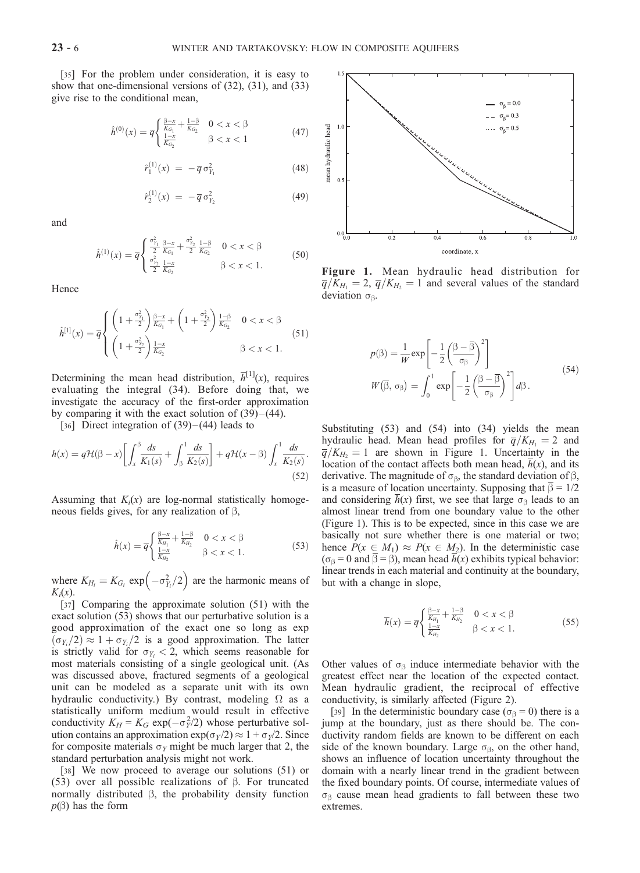[35] For the problem under consideration, it is easy to show that one-dimensional versions of (32), (31), and (33) give rise to the conditional mean,

$$
\hat{h}^{(0)}(x) = \overline{q} \begin{cases} \frac{\beta - x}{K_{G_1}} + \frac{1 - \beta}{K_{G_2}} & 0 < x < \beta \\ \frac{1 - x}{K_{G_2}} & \beta < x < 1 \end{cases} \tag{47}
$$

$$
\hat{r}_1^{(1)}(x) = -\overline{q} \,\sigma_{Y_1}^2 \tag{48}
$$

$$
\hat{r}_2^{(1)}(x) = -\overline{q} \,\sigma_{Y_2}^2 \tag{49}
$$

and

$$
\hat{h}^{(1)}(x) = \overline{q} \begin{cases} \frac{\sigma_{Y_1}^2}{2} \frac{\beta - x}{K_{G_1}} + \frac{\sigma_{Y_2}^2}{2} \frac{1 - \beta}{K_{G_2}} & 0 < x < \beta \\ \frac{\sigma_{Y_2}^2}{2} \frac{1 - x}{K_{G_2}} & \beta < x < 1. \end{cases} \tag{50}
$$

Hence

$$
\hat{h}^{[1]}(x) = \overline{q} \begin{cases} \left(1 + \frac{\sigma_{\gamma_1}^2}{2}\right) \frac{\beta - x}{K_{G_1}} + \left(1 + \frac{\sigma_{\gamma_2}^2}{2}\right) \frac{1 - \beta}{K_{G_2}} & 0 < x < \beta \\ \left(1 + \frac{\sigma_{\gamma_2}^2}{2}\right) \frac{1 - x}{K_{G_2}} & \beta < x < 1. \end{cases} \tag{51}
$$

Determining the mean head distribution,  $\overline{h}^{[1]}(x)$ , requires evaluating the integral (34). Before doing that, we investigate the accuracy of the first-order approximation by comparing it with the exact solution of  $(39)$  –  $(44)$ .

[36] Direct integration of  $(39)$  –  $(44)$  leads to

$$
h(x) = q\mathcal{H}(\beta - x) \left[ \int_x^\beta \frac{ds}{K_1(s)} + \int_\beta^1 \frac{ds}{K_2(s)} \right] + q\mathcal{H}(x - \beta) \int_x^1 \frac{ds}{K_2(s)}.
$$
\n(52)

Assuming that  $K_i(x)$  are log-normal statistically homogeneous fields gives, for any realization of  $\beta$ ,

$$
\hat{h}(x) = \overline{q} \begin{cases} \frac{\beta - x}{K_{H_1}} + \frac{1 - \beta}{K_{H_2}} & 0 < x < \beta \\ \frac{1 - x}{K_{H_2}} & \beta < x < 1. \end{cases}
$$
\n(53)

where  $K_{H_i} = K_{G_i} \exp \left(-\sigma_{Y_i}^2/2\right)$  $\left(-\sigma_Y^2/2\right)$  are the harmonic means of  $K_i(x)$ .

[37] Comparing the approximate solution (51) with the exact solution (53) shows that our perturbative solution is a good approximation of the exact one so long as exp  $(\sigma_{Y_i}/2) \approx 1 + \sigma_{Y_i}/2$  is a good approximation. The latter is strictly valid for  $\sigma_{Y_i} < 2$ , which seems reasonable for most materials consisting of a single geological unit. (As was discussed above, fractured segments of a geological unit can be modeled as a separate unit with its own hydraulic conductivity.) By contrast, modeling  $\Omega$  as a statistically uniform medium would result in effective conductivity  $K_H = K_G \exp(-\sigma_Y^2/2)$  whose perturbative solution contains an approximation  $\exp(\sigma_y/2) \approx 1 + \sigma_y/2$ . Since for composite materials  $\sigma_Y$  might be much larger that 2, the standard perturbation analysis might not work.

[38] We now proceed to average our solutions (51) or (53) over all possible realizations of  $\beta$ . For truncated normally distributed  $\beta$ , the probability density function  $p(\beta)$  has the form



Figure 1. Mean hydraulic head distribution for  $\overline{q}/K_{H_1} = 2$ ,  $\overline{q}/K_{H_2} = 1$  and several values of the standard deviation  $\sigma_{\beta}$ .

$$
p(\beta) = \frac{1}{W} \exp\left[-\frac{1}{2} \left(\frac{\beta - \overline{\beta}}{\sigma_{\beta}}\right)^{2}\right]
$$

$$
W(\overline{\beta}, \sigma_{\beta}) = \int_{0}^{1} \exp\left[-\frac{1}{2} \left(\frac{\beta - \overline{\beta}}{\sigma_{\beta}}\right)^{2}\right] d\beta.
$$
 (54)

Substituting (53) and (54) into (34) yields the mean hydraulic head. Mean head profiles for  $\overline{q}/K_{H_1} = 2$  and  $\overline{q}/K_{H_2} = 1$  are shown in Figure 1. Uncertainty in the location of the contact affects both mean head,  $h(x)$ , and its derivative. The magnitude of  $\sigma_{\beta}$ , the standard deviation of  $\beta$ , is a measure of location uncertainty. Supposing that  $\beta = 1/2$ and considering  $\overline{h}(x)$  first, we see that large  $\sigma_{\beta}$  leads to an almost linear trend from one boundary value to the other (Figure 1). This is to be expected, since in this case we are basically not sure whether there is one material or two; hence  $P(x \in M_1) \approx P(x \in M_2)$ . In the deterministic case ( $\sigma_{\beta} = 0$  and  $\overline{\beta} = \beta$ ), mean head  $\overline{h}(x)$  exhibits typical behavior: linear trends in each material and continuity at the boundary, but with a change in slope,

$$
\overline{h}(x) = \overline{q} \begin{cases} \frac{\beta - x}{K_{H_1}} + \frac{1 - \beta}{K_{H_2}} & 0 < x < \beta \\ \frac{1 - x}{K_{H_2}} & \beta < x < 1. \end{cases} \tag{55}
$$

Other values of  $\sigma_{\beta}$  induce intermediate behavior with the greatest effect near the location of the expected contact. Mean hydraulic gradient, the reciprocal of effective conductivity, is similarly affected (Figure 2).

[39] In the deterministic boundary case ( $\sigma_\beta = 0$ ) there is a jump at the boundary, just as there should be. The conductivity random fields are known to be different on each side of the known boundary. Large  $\sigma_{\beta}$ , on the other hand, shows an influence of location uncertainty throughout the domain with a nearly linear trend in the gradient between the fixed boundary points. Of course, intermediate values of  $\sigma_{\beta}$  cause mean head gradients to fall between these two extremes.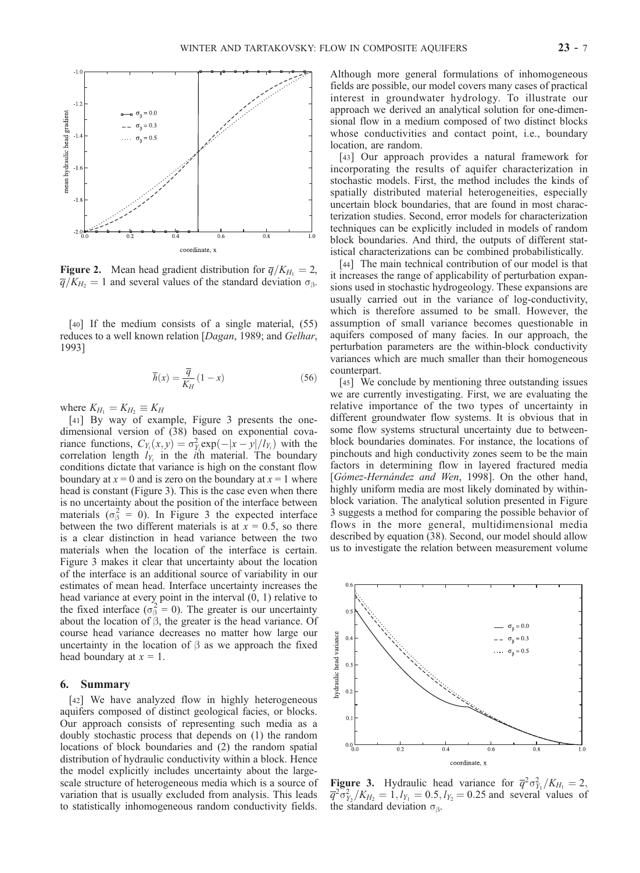

**Figure 2.** Mean head gradient distribution for  $\overline{q}/K_{H_1} = 2$ ,  $\overline{q}/K_H$  = 1 and several values of the standard deviation  $\sigma_{\beta}$ .

[40] If the medium consists of a single material, (55) reduces to a well known relation [Dagan, 1989; and Gelhar, 1993]

$$
\overline{h}(x) = \frac{\overline{q}}{K_H}(1-x)
$$
\n(56)

where  $K_{H_1} = K_{H_2} \equiv K_H$ 

[41] By way of example, Figure 3 presents the onedimensional version of (38) based on exponential covariance functions,  $C_{Y_i}(x, y) = \sigma_{Y_i}^2 \exp(-|x - y|/l_{Y_i})$  with the correlation length  $l_{Y_i}$  in the *i*th material. The boundary conditions dictate that variance is high on the constant flow boundary at  $x = 0$  and is zero on the boundary at  $x = 1$  where head is constant (Figure 3). This is the case even when there is no uncertainty about the position of the interface between materials ( $\sigma_{\beta}^2 = 0$ ). In Figure 3 the expected interface between the two different materials is at  $x = 0.5$ , so there is a clear distinction in head variance between the two materials when the location of the interface is certain. Figure 3 makes it clear that uncertainty about the location of the interface is an additional source of variability in our estimates of mean head. Interface uncertainty increases the head variance at every point in the interval (0, 1) relative to the fixed interface  $(\sigma_{\beta}^2 = 0)$ . The greater is our uncertainty about the location of  $\beta$ , the greater is the head variance. Of course head variance decreases no matter how large our uncertainty in the location of  $\beta$  as we approach the fixed head boundary at  $x = 1$ .

## 6. Summary

[42] We have analyzed flow in highly heterogeneous aquifers composed of distinct geological facies, or blocks. Our approach consists of representing such media as a doubly stochastic process that depends on (1) the random locations of block boundaries and (2) the random spatial distribution of hydraulic conductivity within a block. Hence the model explicitly includes uncertainty about the largescale structure of heterogeneous media which is a source of variation that is usually excluded from analysis. This leads to statistically inhomogeneous random conductivity fields.

Although more general formulations of inhomogeneous fields are possible, our model covers many cases of practical interest in groundwater hydrology. To illustrate our approach we derived an analytical solution for one-dimensional flow in a medium composed of two distinct blocks whose conductivities and contact point, i.e., boundary location, are random.

[43] Our approach provides a natural framework for incorporating the results of aquifer characterization in stochastic models. First, the method includes the kinds of spatially distributed material heterogeneities, especially uncertain block boundaries, that are found in most characterization studies. Second, error models for characterization techniques can be explicitly included in models of random block boundaries. And third, the outputs of different statistical characterizations can be combined probabilistically.

[44] The main technical contribution of our model is that it increases the range of applicability of perturbation expansions used in stochastic hydrogeology. These expansions are usually carried out in the variance of log-conductivity, which is therefore assumed to be small. However, the assumption of small variance becomes questionable in aquifers composed of many facies. In our approach, the perturbation parameters are the within-block conductivity variances which are much smaller than their homogeneous counterpart.

[45] We conclude by mentioning three outstanding issues we are currently investigating. First, we are evaluating the relative importance of the two types of uncertainty in different groundwater flow systems. It is obvious that in some flow systems structural uncertainty due to betweenblock boundaries dominates. For instance, the locations of pinchouts and high conductivity zones seem to be the main factors in determining flow in layered fractured media [Gómez-Hernández and Wen, 1998]. On the other hand, highly uniform media are most likely dominated by withinblock variation. The analytical solution presented in Figure 3 suggests a method for comparing the possible behavior of flows in the more general, multidimensional media described by equation (38). Second, our model should allow us to investigate the relation between measurement volume



**Figure 3.** Hydraulic head variance for  $\overline{q}^2 \sigma_{Y_1}^2 / K_{H_1} = 2$ ,  $\overline{q}^2 \overline{o}_{Y_2}^2 / K_{H_2} = 1, l_{Y_1} = 0.5, l_{Y_2} = 0.25$  and several values of the standard deviation  $\sigma_{\beta}$ .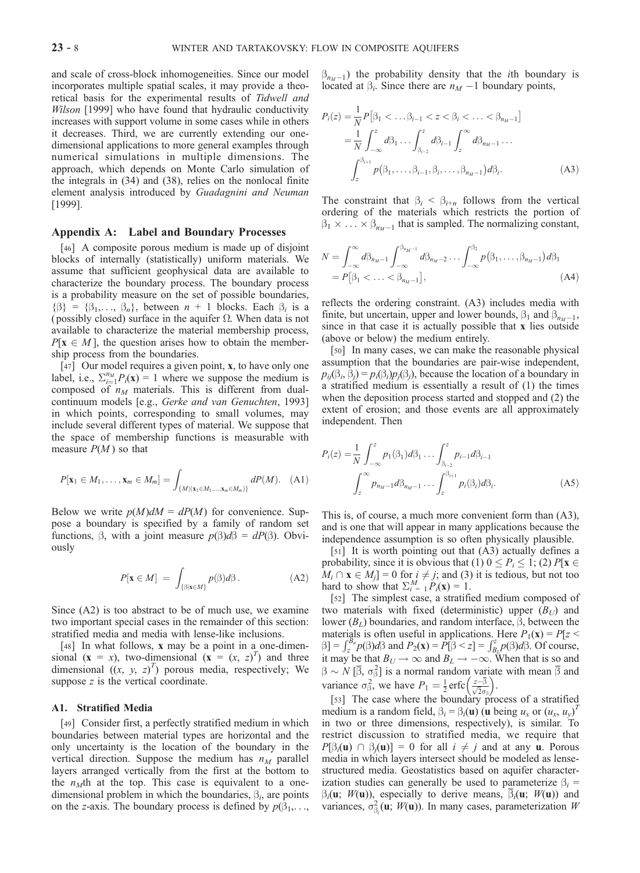and scale of cross-block inhomogeneities. Since our model incorporates multiple spatial scales, it may provide a theoretical basis for the experimental results of Tidwell and Wilson [1999] who have found that hydraulic conductivity increases with support volume in some cases while in others it decreases. Third, we are currently extending our onedimensional applications to more general examples through numerical simulations in multiple dimensions. The approach, which depends on Monte Carlo simulation of the integrals in (34) and (38), relies on the nonlocal finite element analysis introduced by Guadagnini and Neuman [1999].

## Appendix A: Label and Boundary Processes

[46] A composite porous medium is made up of disjoint blocks of internally (statistically) uniform materials. We assume that sufficient geophysical data are available to characterize the boundary process. The boundary process is a probability measure on the set of possible boundaries,  $\{\beta\} = \{\beta_1, \ldots, \beta_n\}$ , between  $n + 1$  blocks. Each  $\beta_i$  is a (possibly closed) surface in the aquifer  $\Omega$ . When data is not available to characterize the material membership process,  $P[x \in M]$ , the question arises how to obtain the membership process from the boundaries.

[47] Our model requires a given point, **x**, to have only one label, i.e.,  $\sum_{i=1}^{n} P_i(\mathbf{x}) = 1$  where we suppose the medium is composed of  $n_M$  materials. This is different from dualcontinuum models [e.g., Gerke and van Genuchten, 1993] in which points, corresponding to small volumes, may include several different types of material. We suppose that the space of membership functions is measurable with measure  $P(M)$  so that

$$
P[\mathbf{x}_1 \in M_1, \dots, \mathbf{x}_m \in M_m] = \int_{\{M | (\mathbf{x}_1 \in M_1, \dots, \mathbf{x}_m \in M_m) \}} dP(M). \quad (A1)
$$

Below we write  $p(M)dM = dP(M)$  for convenience. Suppose a boundary is specified by a family of random set functions,  $\beta$ , with a joint measure  $p(\beta)d\beta = dP(\beta)$ . Obviously

$$
P[\mathbf{x} \in M] = \int_{\{\beta|\mathbf{x} \in M\}} p(\beta) d\beta. \tag{A2}
$$

Since (A2) is too abstract to be of much use, we examine two important special cases in the remainder of this section: stratified media and media with lense-like inclusions.

[48] In what follows, **x** may be a point in a one-dimensional  $(x = x)$ , two-dimensional  $(x = (x, z)^T)$  and three dimensional  $((x, y, z)^T)$  porous media, respectively; We suppose z is the vertical coordinate.

#### A1. Stratified Media

[49] Consider first, a perfectly stratified medium in which boundaries between material types are horizontal and the only uncertainty is the location of the boundary in the vertical direction. Suppose the medium has  $n_M$  parallel layers arranged vertically from the first at the bottom to the  $n<sub>M</sub>$ th at the top. This case is equivalent to a onedimensional problem in which the boundaries,  $\beta_i$ , are points on the z-axis. The boundary process is defined by  $p(\beta_1, \ldots, \beta_n)$ 

 $\beta_{n \nu - 1}$ ) the probability density that the *i*th boundary is located at  $\beta_i$ . Since there are  $n_M - 1$  boundary points,

$$
P_i(z) = \frac{1}{N} P[\beta_1 < \dots \beta_{i-1} < z < \beta_i < \dots < \beta_{n_M - 1}]
$$
  
=  $\frac{1}{N} \int_{-\infty}^{z} d\beta_1 \dots \int_{\beta_{i-2}}^{z} d\beta_{i-1} \int_{z}^{\infty} d\beta_{n_M - 1} \dots$   
 $\int_{z}^{\beta_{i+1}} p(\beta_1, \dots, \beta_{i-1}, \beta_i, \dots, \beta_{n_M - 1}) d\beta_i.$  (A3)

The constraint that  $\beta_i < \beta_{i+n}$  follows from the vertical ordering of the materials which restricts the portion of  $\beta_1 \times \ldots \times \beta_{n_M-1}$  that is sampled. The normalizing constant,

$$
N = \int_{-\infty}^{\infty} d\beta_{n_M-1} \int_{-\infty}^{\beta_{n_M-1}} d\beta_{n_M-2} \dots \int_{-\infty}^{\beta_2} p(\beta_1, \dots, \beta_{n_M-1}) d\beta_1
$$
  
=  $P[\beta_1 < \dots < \beta_{n_M-1}],$  (A4)

reflects the ordering constraint. (A3) includes media with finite, but uncertain, upper and lower bounds,  $\beta_1$  and  $\beta_{n_M - 1}$ , since in that case it is actually possible that x lies outside (above or below) the medium entirely.

[50] In many cases, we can make the reasonable physical assumption that the boundaries are pair-wise independent,  $p_{ij}(\beta_i, \beta_j) = p_i(\beta_i)p_j(\beta_j)$ , because the location of a boundary in a stratified medium is essentially a result of (1) the times when the deposition process started and stopped and (2) the extent of erosion; and those events are all approximately independent. Then

$$
P_i(z) = \frac{1}{N} \int_{-\infty}^{z} p_1(\beta_1) d\beta_1 \dots \int_{\beta_{i-2}}^{z} p_{i-1} d\beta_{i-1}
$$

$$
\int_{z}^{\infty} p_{n_M - 1} d\beta_{n_M - 1} \dots \int_{z}^{\beta_{i+1}} p_i(\beta_i) d\beta_i.
$$
 (A5)

This is, of course, a much more convenient form than (A3), and is one that will appear in many applications because the independence assumption is so often physically plausible.

[51] It is worth pointing out that (A3) actually defines a probability, since it is obvious that (1)  $0 \le P_i \le 1$ ; (2)  $P[x \in$  $M_i \cap \mathbf{x} \in M_j$ ] = 0 for  $i \neq j$ ; and (3) it is tedious, but not too hard to show that  $\sum_{i=1}^{M} P_i(\mathbf{x}) = 1$ .

[52] The simplest case, a stratified medium composed of two materials with fixed (deterministic) upper  $(B_U)$  and lower  $(B_L)$  boundaries, and random interface,  $\beta$ , between the materials is often useful in applications. Here  $P_1(\mathbf{x}) = P[z < \beta] = \int_{z_2}^{B_u} p(\beta) d\beta$  and  $P_2(\mathbf{x}) = P[\beta < z] = \int_{B_L}^{z} p(\beta) d\beta$ . Of course, it may be that  $B_U \to \infty$  and  $B_L \to -\infty$ . When that is so and  $\beta \sim N [\overline{\beta}, \sigma_{\beta}^2]$  is a normal random variate with mean  $\overline{\beta}$  and variance  $\sigma_{\beta}^2$ , we have  $P_1 = \frac{1}{2} \text{erfc} \left( \frac{z-\beta}{\sqrt{2\sigma_{\beta}}} \right)$ .

[53] The case where the boundary process of a stratified medium is a random field,  $\beta_i = \beta_i(\mathbf{u})$  (u being  $u_x$  or  $(u_x, u_y)^T$ in two or three dimensions, respectively), is similar. To restrict discussion to stratified media, we require that  $P[\beta_i(\mathbf{u}) \cap \beta_i(\mathbf{u})] = 0$  for all  $i \neq j$  and at any **u**. Porous media in which layers intersect should be modeled as lensestructured media. Geostatistics based on aquifer characterization studies can generally be used to parameterize  $\beta_i =$  $\beta_i(\mathbf{u}; W(\mathbf{u}))$ , especially to derive means,  $\overline{\beta_i}(\mathbf{u}; W(\mathbf{u}))$  and variances,  $\sigma_{\beta_i}^2(\mathbf{u}; W(\mathbf{u}))$ . In many cases, parameterization W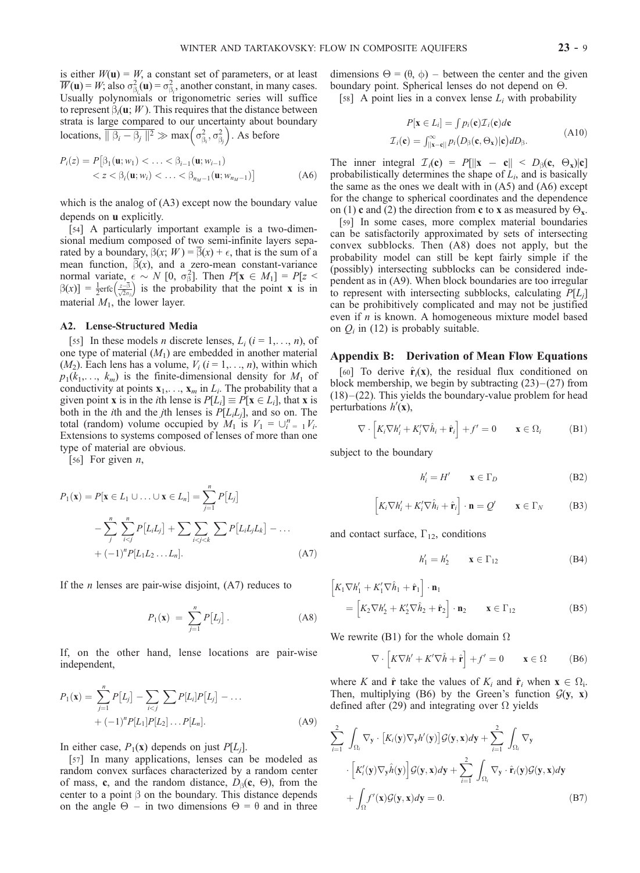is either  $W(\mathbf{u}) = W$ , a constant set of parameters, or at least  $\overline{W}(\mathbf{u}) = W$ ; also  $\sigma_{\beta_i}^2(\mathbf{u}) = \sigma_{\beta_i}^2$ , another constant, in many cases. Usually polynomials or trigonometric series will suffice to represent  $\beta_i(\mathbf{u}; W)$ . This requires that the distance between strata is large compared to our uncertainty about boundary locations,  $\overline{\|\beta_i - \beta_j\|^2} \gg \max\left(\sigma_{\beta_i}^2, \sigma_{\beta_j}^2\right)$ . As before

$$
P_i(z) = P[\beta_1(\mathbf{u}; w_1) < \dots < \beta_{i-1}(\mathbf{u}; w_{i-1}) < z < \beta_i(\mathbf{u}; w_i) < \dots < \beta_{n_M-1}(\mathbf{u}; w_{n_M-1})]
$$
(A6)

which is the analog of  $(A3)$  except now the boundary value depends on u explicitly.

[54] A particularly important example is a two-dimensional medium composed of two semi-infinite layers separated by a boundary,  $\beta(x; W) = \beta(x) + \epsilon$ , that is the sum of a mean function,  $\beta(x)$ , and a zero-mean constant-variance normal variate,  $\epsilon \sim N$  [0,  $\sigma_{\beta}^2$ ]. Then  $P[x \in M_1] = P[z \leq$  $\beta(x)$ ] =  $\frac{1}{2}$ erfc $\left(\frac{z-3}{\sqrt{2}\sigma_3}\right)$  is the probability that the point **x** is in material  $M_1$ , the lower layer.

## A2. Lense-Structured Media

[55] In these models *n* discrete lenses,  $L_i$  ( $i = 1, \ldots, n$ ), of one type of material  $(M_1)$  are embedded in another material  $(M_2)$ . Each lens has a volume,  $V_i$   $(i = 1, \ldots, n)$ , within which  $p_1(k_1,..., k_m)$  is the finite-dimensional density for  $M_1$  of conductivity at points  $x_1, \ldots, x_m$  in  $L_i$ . The probability that a given point **x** is in the *i*th lense is  $P[L_i] \equiv P[\mathbf{x} \in L_i]$ , that **x** is both in the *i*th and the *j*th lenses is  $P[L_iL_i]$ , and so on. The total (random) volume occupied by  $M_1$  is  $V_1 = \bigcup_{i=1}^n V_i$ . Extensions to systems composed of lenses of more than one type of material are obvious.

[56] For given  $n$ ,

$$
P_1(\mathbf{x}) = P[\mathbf{x} \in L_1 \cup ... \cup \mathbf{x} \in L_n] = \sum_{j=1}^n P[L_j]
$$
  
- 
$$
\sum_{j}^{n} \sum_{i < j}^{n} P[L_i L_j] + \sum_{i < j < k} \sum_{i < j < k} P[L_i L_j L_k] - ...
$$
  
+ 
$$
(-1)^n P[L_1 L_2 ... L_n].
$$
 (A7)

If the  $n$  lenses are pair-wise disjoint,  $(A7)$  reduces to

$$
P_1(\mathbf{x}) = \sum_{j=1}^n P[L_j]. \tag{A8}
$$

If, on the other hand, lense locations are pair-wise independent,

$$
P_1(\mathbf{x}) = \sum_{j=1}^n P[L_j] - \sum_{i < j} \sum_{j} P[L_i] P[L_j] - \dots + (-1)^n P[L_1] P[L_2] \dots P[L_n]. \tag{A9}
$$

In either case,  $P_1(x)$  depends on just  $P[L_i]$ .

[57] In many applications, lenses can be modeled as random convex surfaces characterized by a random center of mass, c, and the random distance,  $D_{\beta}$ (c,  $\Theta$ ), from the center to a point  $\beta$  on the boundary. This distance depends on the angle  $\Theta$  – in two dimensions  $\Theta = \theta$  and in three dimensions  $\Theta = (\theta, \phi)$  – between the center and the given boundary point. Spherical lenses do not depend on  $\Theta$ .

[58] A point lies in a convex lense  $L_i$  with probability

$$
P[\mathbf{x} \in L_i] = \int p_i(\mathbf{c}) \mathcal{I}_i(\mathbf{c}) d\mathbf{c}
$$
  

$$
\mathcal{I}_i(\mathbf{c}) = \int_{\|\mathbf{x} - \mathbf{c}\|}^{\infty} p_i(D_\beta(\mathbf{c}, \Theta_\mathbf{x}) | \mathbf{c}) dD_\beta.
$$
 (A10)

The inner integral  $\mathcal{I}_i(c) = P[||x - c|| < D_{\beta}(c, \Theta_x)|c]$ probabilistically determines the shape of  $L_i$ , and is basically the same as the ones we dealt with in  $(A5)$  and  $(A6)$  except for the change to spherical coordinates and the dependence on (1) c and (2) the direction from c to x as measured by  $\Theta_{\mathbf{x}}$ .

[59] In some cases, more complex material boundaries can be satisfactorily approximated by sets of intersecting convex subblocks. Then (A8) does not apply, but the probability model can still be kept fairly simple if the (possibly) intersecting subblocks can be considered independent as in (A9). When block boundaries are too irregular to represent with intersecting subblocks, calculating  $P[L_i]$ can be prohibitively complicated and may not be justified even if  $n$  is known. A homogeneous mixture model based on  $Q_i$  in (12) is probably suitable.

#### Appendix B: Derivation of Mean Flow Equations

[60] To derive  $\hat{\mathbf{r}}_i(\mathbf{x})$ , the residual flux conditioned on block membership, we begin by subtracting  $(23)$  –  $(27)$  from  $(18)$  –  $(22)$ . This yields the boundary-value problem for head perturbations  $h'(\mathbf{x})$ ,

$$
\nabla \cdot \left[ K_i \nabla h'_i + K'_i \nabla \hat{h}_i + \hat{\mathbf{r}}_i \right] + f' = 0 \qquad \mathbf{x} \in \Omega_i \tag{B1}
$$

subject to the boundary

$$
h_i' = H' \qquad \mathbf{x} \in \Gamma_D \tag{B2}
$$

$$
\[K_i \nabla h'_i + K'_i \nabla \hat{h}_i + \hat{\mathbf{r}}_i\] \cdot \mathbf{n} = \mathcal{Q}' \qquad \mathbf{x} \in \Gamma_N \tag{B3}
$$

and contact surface,  $\Gamma_{12}$ , conditions

$$
h_1' = h_2' \qquad \mathbf{x} \in \Gamma_{12} \tag{B4}
$$

$$
\begin{aligned}\n\left[K_1 \nabla h_1' + K_1' \nabla \hat{h}_1 + \hat{\mathbf{r}}_1\right] \cdot \mathbf{n}_1 \\
&= \left[K_2 \nabla h_2' + K_2' \nabla \hat{h}_2 + \hat{\mathbf{r}}_2\right] \cdot \mathbf{n}_2 \qquad \mathbf{x} \in \Gamma_{12}\n\end{aligned} \tag{B5}
$$

We rewrite (B1) for the whole domain  $\Omega$ 

$$
\nabla \cdot \left[ K \nabla h' + K' \nabla \hat{h} + \hat{\mathbf{r}} \right] + f' = 0 \qquad \mathbf{x} \in \Omega \tag{B6}
$$

where K and  $\hat{\mathbf{r}}$  take the values of  $K_i$  and  $\hat{\mathbf{r}}_i$  when  $\mathbf{x} \in \Omega_i$ . Then, multiplying (B6) by the Green's function  $G(y, x)$ defined after (29) and integrating over  $\Omega$  yields

$$
\sum_{i=1}^{2} \int_{\Omega_{i}} \nabla_{\mathbf{y}} \cdot [K_{i}(\mathbf{y}) \nabla_{\mathbf{y}} h'(\mathbf{y})] \mathcal{G}(\mathbf{y}, \mathbf{x}) d\mathbf{y} + \sum_{i=1}^{2} \int_{\Omega_{i}} \nabla_{\mathbf{y}} \cdot \left[ K'_{i}(\mathbf{y}) \nabla_{\mathbf{y}} \hat{h}(\mathbf{y}) \right] \mathcal{G}(\mathbf{y}, \mathbf{x}) d\mathbf{y} + \sum_{i=1}^{2} \int_{\Omega_{i}} \nabla_{\mathbf{y}} \cdot \hat{\mathbf{r}}_{i}(\mathbf{y}) \mathcal{G}(\mathbf{y}, \mathbf{x}) d\mathbf{y} + \int_{\Omega} f'(\mathbf{x}) \mathcal{G}(\mathbf{y}, \mathbf{x}) d\mathbf{y} = 0.
$$
\n(B7)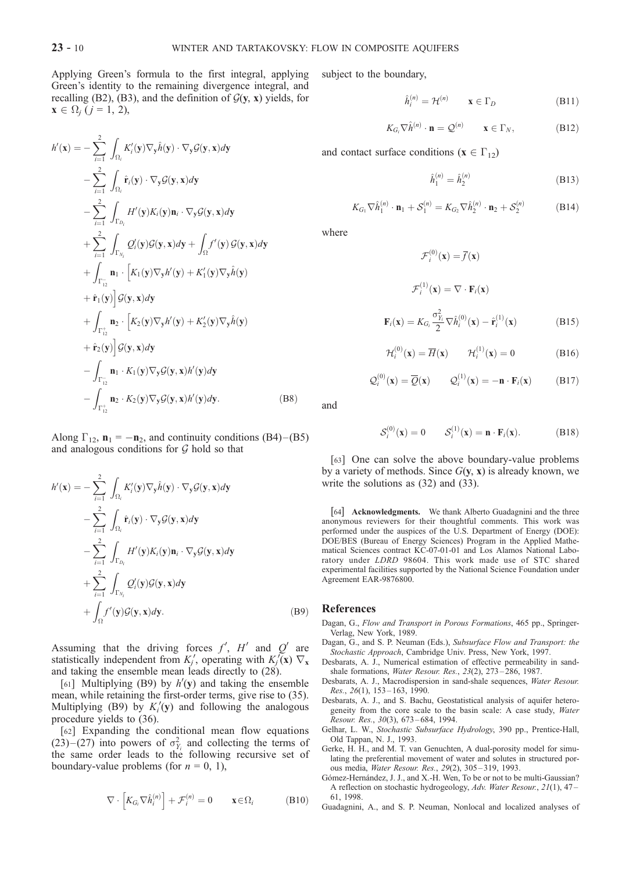Applying Green's formula to the first integral, applying Green's identity to the remaining divergence integral, and recalling (B2), (B3), and the definition of  $G(y, x)$  yields, for  $\mathbf{x} \in \Omega_j \ (j = 1, 2),$ 

$$
h'(\mathbf{x}) = -\sum_{i=1}^{2} \int_{\Omega_{i}} K'_{i}(\mathbf{y}) \nabla_{\mathbf{y}} \hat{h}(\mathbf{y}) \cdot \nabla_{\mathbf{y}} \mathcal{G}(\mathbf{y}, \mathbf{x}) d\mathbf{y}
$$
  
\n
$$
- \sum_{i=1}^{2} \int_{\Omega_{i}} \hat{\mathbf{r}}_{i}(\mathbf{y}) \cdot \nabla_{\mathbf{y}} \mathcal{G}(\mathbf{y}, \mathbf{x}) d\mathbf{y}
$$
  
\n
$$
- \sum_{i=1}^{2} \int_{\Gamma_{D_{i}}} H'(\mathbf{y}) K_{i}(\mathbf{y}) \mathbf{n}_{i} \cdot \nabla_{\mathbf{y}} \mathcal{G}(\mathbf{y}, \mathbf{x}) d\mathbf{y}
$$
  
\n
$$
+ \sum_{i=1}^{2} \int_{\Gamma_{N_{i}}} Q'_{i}(\mathbf{y}) \mathcal{G}(\mathbf{y}, \mathbf{x}) d\mathbf{y} + \int_{\Omega} f'(\mathbf{y}) \mathcal{G}(\mathbf{y}, \mathbf{x}) d\mathbf{y}
$$
  
\n
$$
+ \int_{\Gamma_{12}^{-}} \mathbf{n}_{1} \cdot \left[ K_{1}(\mathbf{y}) \nabla_{\mathbf{y}} h'(\mathbf{y}) + K'_{1}(\mathbf{y}) \nabla_{\mathbf{y}} \hat{h}(\mathbf{y}) \right]
$$
  
\n
$$
+ \hat{\mathbf{r}}_{1}(\mathbf{y}) \right] \mathcal{G}(\mathbf{y}, \mathbf{x}) d\mathbf{y}
$$
  
\n
$$
+ \int_{\Gamma_{12}^{+}} \mathbf{n}_{2} \cdot \left[ K_{2}(\mathbf{y}) \nabla_{\mathbf{y}} h'(\mathbf{y}) + K'_{2}(\mathbf{y}) \nabla_{\mathbf{y}} \hat{h}(\mathbf{y}) \right]
$$
  
\n
$$
+ \hat{\mathbf{r}}_{2}(\mathbf{y}) \right] \mathcal{G}(\mathbf{y}, \mathbf{x}) d\mathbf{y}
$$
  
\n
$$
- \int_{\Gamma_{12}^{-}} \mathbf{n}_{1} \cdot K_{1}(\mathbf{y}) \nabla_{\mathbf{y}} \mathcal{G}(\mathbf{
$$

Along  $\Gamma_{12}$ ,  $\mathbf{n}_1 = -\mathbf{n}_2$ , and continuity conditions (B4)–(B5) and analogous conditions for  $G$  hold so that

$$
h'(\mathbf{x}) = -\sum_{i=1}^{2} \int_{\Omega_{i}} K'_{i}(\mathbf{y}) \nabla_{\mathbf{y}} \hat{h}(\mathbf{y}) \cdot \nabla_{\mathbf{y}} \mathcal{G}(\mathbf{y}, \mathbf{x}) d\mathbf{y}
$$
  

$$
- \sum_{i=1}^{2} \int_{\Omega_{i}} \hat{\mathbf{r}}_{i}(\mathbf{y}) \cdot \nabla_{\mathbf{y}} \mathcal{G}(\mathbf{y}, \mathbf{x}) d\mathbf{y}
$$
  

$$
- \sum_{i=1}^{2} \int_{\Gamma_{D_{i}}} H'(\mathbf{y}) K_{i}(\mathbf{y}) \mathbf{n}_{i} \cdot \nabla_{\mathbf{y}} \mathcal{G}(\mathbf{y}, \mathbf{x}) d\mathbf{y}
$$
  

$$
+ \sum_{i=1}^{2} \int_{\Gamma_{N_{i}}} Q'_{i}(\mathbf{y}) \mathcal{G}(\mathbf{y}, \mathbf{x}) d\mathbf{y}
$$
  

$$
+ \int_{\Omega} f'(\mathbf{y}) \mathcal{G}(\mathbf{y}, \mathbf{x}) d\mathbf{y}.
$$
 (B9)

Assuming that the driving forces  $f'$ ,  $H'$  and  $Q'$  are statistically independent from  $K_j'$ , operating with  $K_j(\mathbf{x}) \nabla_{\mathbf{x}}$ and taking the ensemble mean leads directly to (28).

[61] Multiplying (B9) by  $h'(y)$  and taking the ensemble mean, while retaining the first-order terms, give rise to (35). Multiplying (B9) by  $K_i'(\mathbf{y})$  and following the analogous procedure yields to (36).

[62] Expanding the conditional mean flow equations  $(23)$  –  $(27)$  into powers of  $\sigma_{Y_i}^2$  and collecting the terms of the same order leads to the following recursive set of boundary-value problems (for  $n = 0, 1$ ),

$$
\nabla \cdot \left[ K_{G_i} \nabla \hat{h}_i^{(n)} \right] + \mathcal{F}_i^{(n)} = 0 \qquad \mathbf{x} \in \Omega_i \tag{B10}
$$

subject to the boundary,

$$
\hat{h}_i^{(n)} = \mathcal{H}^{(n)} \qquad \mathbf{x} \in \Gamma_D \tag{B11}
$$

$$
K_{G_i} \nabla \hat{h}^{(n)} \cdot \mathbf{n} = \mathcal{Q}^{(n)} \qquad \mathbf{x} \in \Gamma_N,
$$
 (B12)

and contact surface conditions ( $\mathbf{x} \in \Gamma_{12}$ )

$$
\hat{h}_1^{(n)} = \hat{h}_2^{(n)} \tag{B13}
$$

$$
K_{G_1} \nabla \hat{h}_1^{(n)} \cdot \mathbf{n}_1 + \mathcal{S}_1^{(n)} = K_{G_2} \nabla \hat{h}_2^{(n)} \cdot \mathbf{n}_2 + \mathcal{S}_2^{(n)} \tag{B14}
$$

where

$$
\mathcal{F}_i^{(0)}(\mathbf{x}) = \overline{f}(\mathbf{x})
$$

$$
\mathcal{F}_i^{(1)}(\mathbf{x}) = \nabla \cdot \mathbf{F}_i(\mathbf{x})
$$

$$
\mathbf{F}_i(\mathbf{x}) = K_{G_i} \frac{\sigma_{Y_i}^2}{2} \nabla \hat{h}_i^{(0)}(\mathbf{x}) - \hat{\mathbf{r}}_i^{(1)}(\mathbf{x})
$$
(B15)

$$
\mathcal{H}_i^{(0)}(\mathbf{x}) = \overline{H}(\mathbf{x}) \qquad \mathcal{H}_i^{(1)}(\mathbf{x}) = 0 \tag{B16}
$$

$$
\mathcal{Q}_i^{(0)}(\mathbf{x}) = \overline{\mathcal{Q}}(\mathbf{x}) \qquad \mathcal{Q}_i^{(1)}(\mathbf{x}) = -\mathbf{n} \cdot \mathbf{F}_i(\mathbf{x}) \qquad (B17)
$$

and

$$
S_i^{(0)}(\mathbf{x}) = 0 \t S_i^{(1)}(\mathbf{x}) = \mathbf{n} \cdot \mathbf{F}_i(\mathbf{x}). \t (B18)
$$

[63] One can solve the above boundary-value problems by a variety of methods. Since  $G(y, x)$  is already known, we write the solutions as (32) and (33).

[64] Acknowledgments. We thank Alberto Guadagnini and the three anonymous reviewers for their thoughtful comments. This work was performed under the auspices of the U.S. Department of Energy (DOE): DOE/BES (Bureau of Energy Sciences) Program in the Applied Mathematical Sciences contract KC-07-01-01 and Los Alamos National Laboratory under LDRD 98604. This work made use of STC shared experimental facilities supported by the National Science Foundation under Agreement EAR-9876800.

#### References

- Dagan, G., Flow and Transport in Porous Formations, 465 pp., Springer-Verlag, New York, 1989.
- Dagan, G., and S. P. Neuman (Eds.), Subsurface Flow and Transport: the Stochastic Approach, Cambridge Univ. Press, New York, 1997.
- Desbarats, A. J., Numerical estimation of effective permeability in sandshale formations, Water Resour. Res., 23(2), 273-286, 1987.
- Desbarats, A. J., Macrodispersion in sand-shale sequences, Water Resour. Res., 26(1), 153 – 163, 1990.
- Desbarats, A. J., and S. Bachu, Geostatistical analysis of aquifer heterogeneity from the core scale to the basin scale: A case study, Water Resour. Res., 30(3), 673 – 684, 1994.
- Gelhar, L. W., Stochastic Subsurface Hydrology, 390 pp., Prentice-Hall, Old Tappan, N. J., 1993.
- Gerke, H. H., and M. T. van Genuchten, A dual-porosity model for simulating the preferential movement of water and solutes in structured porous media, Water Resour. Res., 29(2), 305 – 319, 1993.
- Gómez-Hernández, J. J., and X.-H. Wen, To be or not to be multi-Gaussian? A reflection on stochastic hydrogeology, Adv. Water Resour., 21(1), 47 – 61, 1998.
- Guadagnini, A., and S. P. Neuman, Nonlocal and localized analyses of